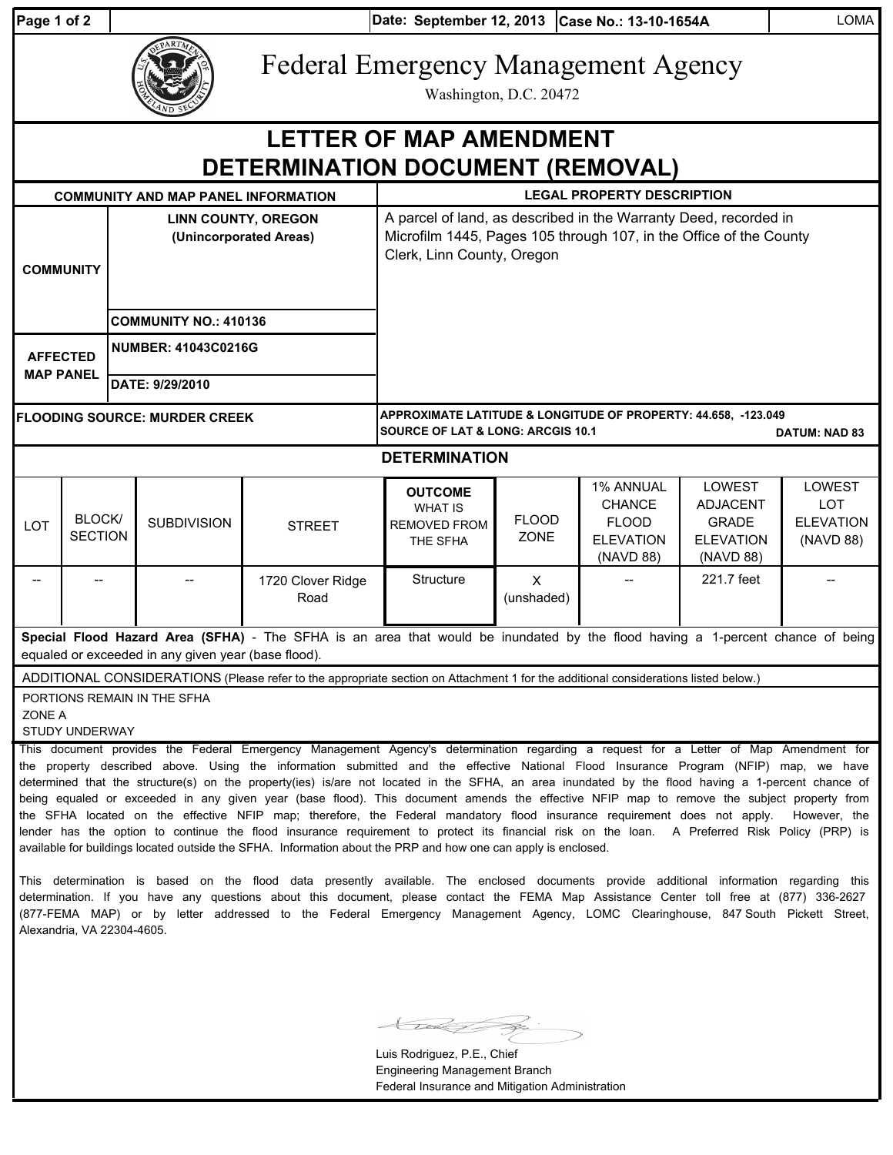|  |  | <sup>o</sup> age 1 of 2 |  |
|--|--|-------------------------|--|
|  |  |                         |  |

Alexandria, VA 22304-4605.

**Date: Case No.: 13-10-1654A** LOMA **Page 1 of 2 September 12, 2013**



Federal Emergency Management Agency

Washington, D.C. 20472

| <b>LETTER OF MAP AMENDMENT</b><br><b>DETERMINATION DOCUMENT (REMOVAL)</b>                                                                                                                                                                                                                                                                                                                                                                                                                                                                                                                                                                                                                                                  |                                 |                                                      |                    |                                                                                                                                                                      |                                                                                                                                        |                              |                                                                             |                                                                            |                                                       |  |  |
|----------------------------------------------------------------------------------------------------------------------------------------------------------------------------------------------------------------------------------------------------------------------------------------------------------------------------------------------------------------------------------------------------------------------------------------------------------------------------------------------------------------------------------------------------------------------------------------------------------------------------------------------------------------------------------------------------------------------------|---------------------------------|------------------------------------------------------|--------------------|----------------------------------------------------------------------------------------------------------------------------------------------------------------------|----------------------------------------------------------------------------------------------------------------------------------------|------------------------------|-----------------------------------------------------------------------------|----------------------------------------------------------------------------|-------------------------------------------------------|--|--|
| <b>COMMUNITY AND MAP PANEL INFORMATION</b>                                                                                                                                                                                                                                                                                                                                                                                                                                                                                                                                                                                                                                                                                 |                                 |                                                      |                    |                                                                                                                                                                      | <b>LEGAL PROPERTY DESCRIPTION</b>                                                                                                      |                              |                                                                             |                                                                            |                                                       |  |  |
| <b>COMMUNITY</b>                                                                                                                                                                                                                                                                                                                                                                                                                                                                                                                                                                                                                                                                                                           |                                 | <b>LINN COUNTY, OREGON</b><br>(Unincorporated Areas) |                    | A parcel of land, as described in the Warranty Deed, recorded in<br>Microfilm 1445, Pages 105 through 107, in the Office of the County<br>Clerk, Linn County, Oregon |                                                                                                                                        |                              |                                                                             |                                                                            |                                                       |  |  |
|                                                                                                                                                                                                                                                                                                                                                                                                                                                                                                                                                                                                                                                                                                                            |                                 | <b>COMMUNITY NO.: 410136</b>                         |                    |                                                                                                                                                                      |                                                                                                                                        |                              |                                                                             |                                                                            |                                                       |  |  |
| <b>AFFECTED</b><br><b>MAP PANEL</b>                                                                                                                                                                                                                                                                                                                                                                                                                                                                                                                                                                                                                                                                                        |                                 | <b>NUMBER: 41043C0216G</b>                           |                    |                                                                                                                                                                      |                                                                                                                                        |                              |                                                                             |                                                                            |                                                       |  |  |
|                                                                                                                                                                                                                                                                                                                                                                                                                                                                                                                                                                                                                                                                                                                            |                                 | DATE: 9/29/2010                                      |                    |                                                                                                                                                                      |                                                                                                                                        |                              |                                                                             |                                                                            |                                                       |  |  |
| <b>FLOODING SOURCE: MURDER CREEK</b>                                                                                                                                                                                                                                                                                                                                                                                                                                                                                                                                                                                                                                                                                       |                                 |                                                      |                    |                                                                                                                                                                      | APPROXIMATE LATITUDE & LONGITUDE OF PROPERTY: 44.658, -123.049<br><b>SOURCE OF LAT &amp; LONG: ARCGIS 10.1</b><br><b>DATUM: NAD 83</b> |                              |                                                                             |                                                                            |                                                       |  |  |
|                                                                                                                                                                                                                                                                                                                                                                                                                                                                                                                                                                                                                                                                                                                            |                                 |                                                      |                    |                                                                                                                                                                      | <b>DETERMINATION</b>                                                                                                                   |                              |                                                                             |                                                                            |                                                       |  |  |
| LOT                                                                                                                                                                                                                                                                                                                                                                                                                                                                                                                                                                                                                                                                                                                        | <b>BLOCK/</b><br><b>SECTION</b> |                                                      | <b>SUBDIVISION</b> | <b>STREET</b>                                                                                                                                                        | <b>OUTCOME</b><br><b>WHAT IS</b><br><b>REMOVED FROM</b><br>THE SFHA                                                                    | <b>FLOOD</b><br><b>ZONE</b>  | 1% ANNUAL<br><b>CHANCE</b><br><b>FLOOD</b><br><b>ELEVATION</b><br>(NAVD 88) | LOWEST<br><b>ADJACENT</b><br><b>GRADE</b><br><b>ELEVATION</b><br>(NAVD 88) | LOWEST<br><b>LOT</b><br><b>ELEVATION</b><br>(NAVD 88) |  |  |
|                                                                                                                                                                                                                                                                                                                                                                                                                                                                                                                                                                                                                                                                                                                            |                                 |                                                      |                    | 1720 Clover Ridge<br>Road                                                                                                                                            | Structure                                                                                                                              | $\pmb{\times}$<br>(unshaded) |                                                                             | 221.7 feet                                                                 |                                                       |  |  |
| Special Flood Hazard Area (SFHA) - The SFHA is an area that would be inundated by the flood having a 1-percent chance of being<br>equaled or exceeded in any given year (base flood).                                                                                                                                                                                                                                                                                                                                                                                                                                                                                                                                      |                                 |                                                      |                    |                                                                                                                                                                      |                                                                                                                                        |                              |                                                                             |                                                                            |                                                       |  |  |
| ADDITIONAL CONSIDERATIONS (Please refer to the appropriate section on Attachment 1 for the additional considerations listed below.)                                                                                                                                                                                                                                                                                                                                                                                                                                                                                                                                                                                        |                                 |                                                      |                    |                                                                                                                                                                      |                                                                                                                                        |                              |                                                                             |                                                                            |                                                       |  |  |
| PORTIONS REMAIN IN THE SFHA<br>ZONE A<br><b>STUDY UNDERWAY</b>                                                                                                                                                                                                                                                                                                                                                                                                                                                                                                                                                                                                                                                             |                                 |                                                      |                    |                                                                                                                                                                      |                                                                                                                                        |                              |                                                                             |                                                                            |                                                       |  |  |
| This document provides the Federal Emergency Management Agency's determination regarding a request for a Letter of Map Amendment for<br>the property described above. Using the information submitted and the effective National Flood Insurance Program (NFIP) map, we have<br>determined that the structure(s) on the property(ies) is/are not located in the SFHA, an area inundated by the flood having a 1-percent chance of<br>being equaled or exceeded in any given year (base flood). This document amends the effective NFIP map to remove the subject property from<br>the SFHA located on the effective NFIP map; therefore, the Federal mandatory flood insurance requirement does not apply.<br>However, the |                                 |                                                      |                    |                                                                                                                                                                      |                                                                                                                                        |                              |                                                                             |                                                                            |                                                       |  |  |

available for buildings located outside the SFHA. Information about the PRP and how one can apply is enclosed. This determination is based on the flood data presently available. The enclosed documents provide additional information regarding this determination. If you have any questions about this document, please contact the FEMA Map Assistance Center toll free at (877) 336-2627 (877-FEMA MAP) or by letter addressed to the Federal Emergency Management Agency, LOMC Clearinghouse, 847 South Pickett Street,

lender has the option to continue the flood insurance requirement to protect its financial risk on the loan. A Preferred Risk Policy (PRP) is

Luis Rodriguez, P.E., Chief Engineering Management Branch Federal Insurance and Mitigation Administration